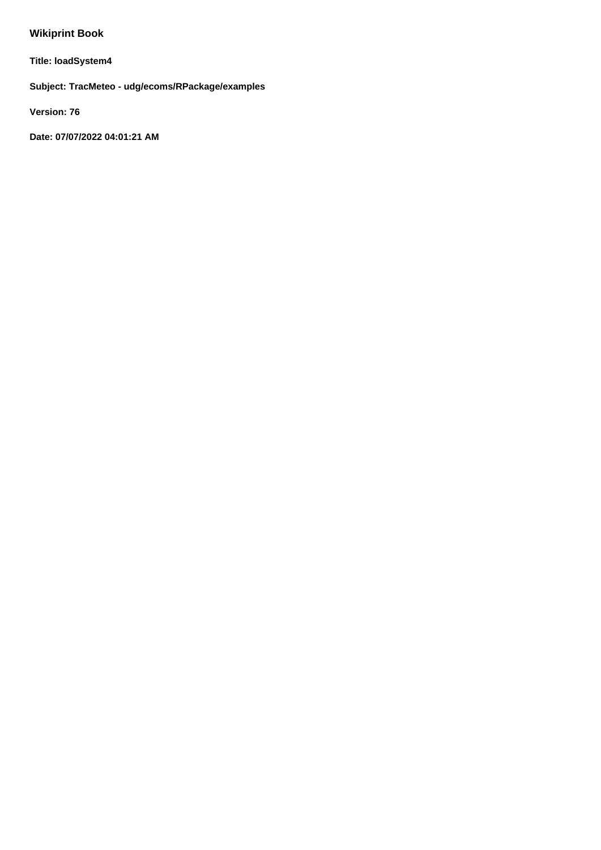# **Wikiprint Book**

**Title: loadSystem4**

**Subject: TracMeteo - udg/ecoms/RPackage/examples**

**Version: 76**

**Date: 07/07/2022 04:01:21 AM**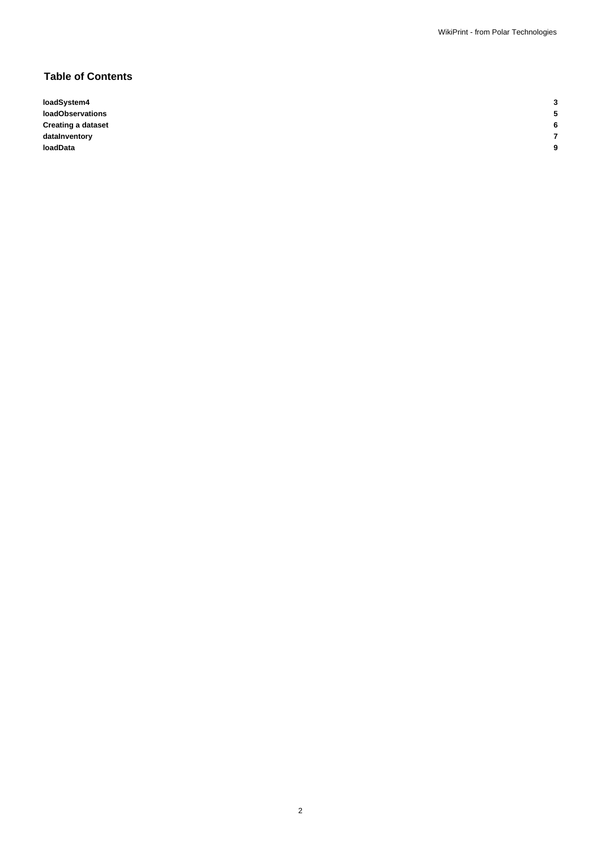2

# **Table of Contents**

**loadSystem4 3 loadObservations 5 Creating a dataset 6 dataInventory 7 loadData 9**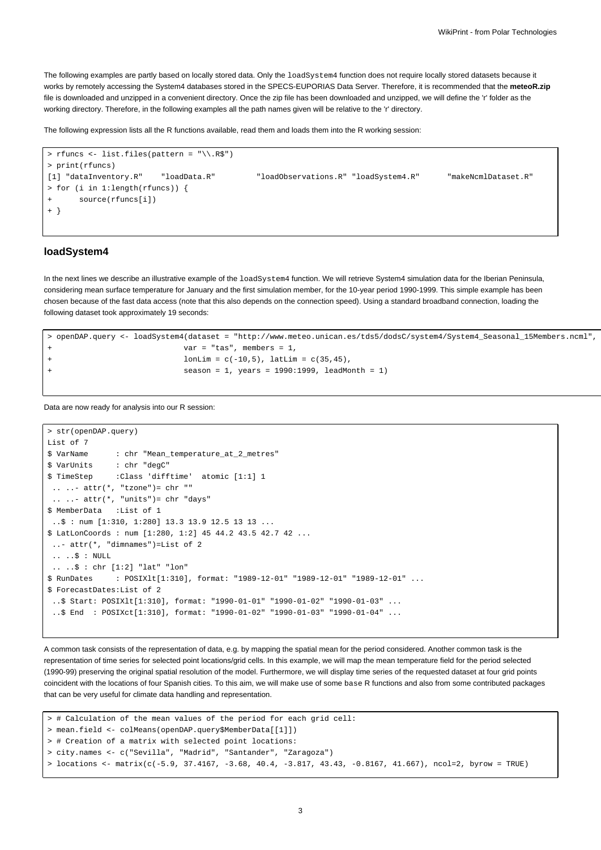The following examples are partly based on locally stored data. Only the loadSystem4 function does not require locally stored datasets because it works by remotely accessing the System4 databases stored in the SPECS-EUPORIAS Data Server. Therefore, it is recommended that the **meteoR.zip** file is downloaded and unzipped in a convenient directory. Once the zip file has been downloaded and unzipped, we will define the 'r' folder as the working directory. Therefore, in the following examples all the path names given will be relative to the 'r' directory.

The following expression lists all the R functions available, read them and loads them into the R working session:

```
> rfuncs <- list.files(pattern = "\\.R$")
> print(rfuncs)
[1] "dataInventory.R" "loadData.R" "loadObservations.R" "loadSystem4.R" "makeNcmlDataset.R"
> for (i in 1:length(rfuncs)) {
      source(rfuncs[i])
+ }
```
#### **loadSystem4**

In the next lines we describe an illustrative example of the loadSystem4 function. We will retrieve System4 simulation data for the Iberian Peninsula, considering mean surface temperature for January and the first simulation member, for the 10-year period 1990-1999. This simple example has been chosen because of the fast data access (note that this also depends on the connection speed). Using a standard broadband connection, loading the following dataset took approximately 19 seconds:

```
> openDAP.query <- loadSystem4(dataset = "http://www.meteo.unican.es/tds5/dodsC/system4/System4_Seasonal_15Members.ncml",
                        var = "tas", members = 1,
+ l lonLim = c(-10,5), latLim = c(35,45),
+ season = 1, years = 1990:1999, leadMonth = 1)
```
Data are now ready for analysis into our R session:

```
> str(openDAP.query)
List of 7
$ VarName : chr "Mean_temperature_at_2_metres"
$ VarUnits : chr "degC"
$ TimeStep :Class 'difftime' atomic [1:1] 1
 \ldots \ldots attr(*, "tzone")= chr ""
 \ldots ... attr(*, "units")= chr "days"
$ MemberData :List of 1
 \therefore $ : num [1:310, 1:280] 13.3 13.9 12.5 13 13 ...
$ LatLonCoords : num [1:280, 1:2] 45 44.2 43.5 42.7 42 ...
 ..- attr(*, "dimnames")=List of 2
 \ldots \therefore \Diamond : NULL
 .. ..$ : chr [1:2] "lat" "lon"
$ RunDates : POSIXlt[1:310], format: "1989-12-01" "1989-12-01" "1989-12-01" ...
$ ForecastDates:List of 2
 ..$ Start: POSIXlt[1:310], format: "1990-01-01" "1990-01-02" "1990-01-03" ...
 ..$ End : POSIXct[1:310], format: "1990-01-02" "1990-01-03" "1990-01-04" ...
```
A common task consists of the representation of data, e.g. by mapping the spatial mean for the period considered. Another common task is the representation of time series for selected point locations/grid cells. In this example, we will map the mean temperature field for the period selected (1990-99) preserving the original spatial resolution of the model. Furthermore, we will display time series of the requested dataset at four grid points coincident with the locations of four Spanish cities. To this aim, we will make use of some base R functions and also from some contributed packages that can be very useful for climate data handling and representation.

```
> # Calculation of the mean values of the period for each grid cell:
> mean.field <- colMeans(openDAP.query$MemberData[[1]])
> # Creation of a matrix with selected point locations:
> city.names <- c("Sevilla", "Madrid", "Santander", "Zaragoza")
> locations <- matrix(c(-5.9, 37.4167, -3.68, 40.4, -3.817, 43.43, -0.8167, 41.667), ncol=2, byrow = TRUE)
```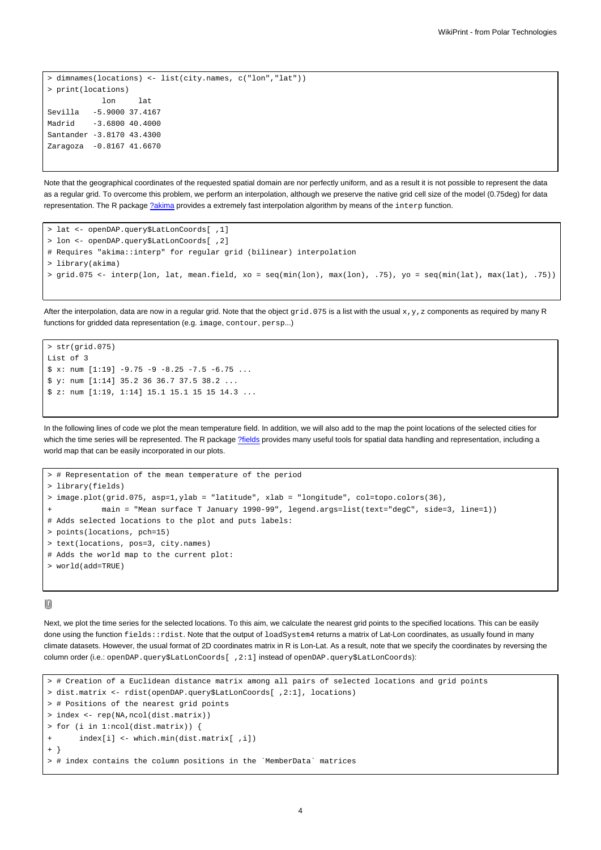```
> dimnames(locations) <- list(city.names, c("lon","lat"))
> print(locations)
           lon lat
Sevilla -5.9000 37.4167
Madrid -3.6800 40.4000
Santander -3.8170 43.4300
Zaragoza -0.8167 41.6670
```
Note that the geographical coordinates of the requested spatial domain are nor perfectly uniform, and as a result it is not possible to represent the data as a regular grid. To overcome this problem, we perform an interpolation, although we preserve the native grid cell size of the model (0.75deg) for data representation. The R package [?akima](http://cran.r-project.org/web/packages/akima/index.html) provides a extremely fast interpolation algorithm by means of the interp function.

```
> lat <- openDAP.query$LatLonCoords[ ,1]
> lon <- openDAP.query$LatLonCoords[ ,2]
# Requires "akima::interp" for regular grid (bilinear) interpolation
> library(akima)
> grid.075 <- interp(lon, lat, mean.field, xo = seq(min(lon), max(lon), .75), yo = seq(min(lat), max(lat), .75))
```
After the interpolation, data are now in a regular grid. Note that the object  $grid.075$  is a list with the usual  $x,y,z$  components as required by many R functions for gridded data representation (e.g. image, contour, persp...)

```
> str(\text{grid}.075)List of 3
$ x: num [1:19] -9.75 -9 -8.25 -7.5 -6.75 ...$ y: num [1:14] 35.2 36 36.7 37.5 38.2 ...
$ z: num [1:19, 1:14] 15.1 15.1 15 15 14.3 ...
```
In the following lines of code we plot the mean temperature field. In addition, we will also add to the map the point locations of the selected cities for which the time series will be represented. The R package [?fields](http://cran.r-project.org/web/packages/fields/index.html) provides many useful tools for spatial data handling and representation, including a world map that can be easily incorporated in our plots.

```
# Representation of the mean temperature of the period
> library(fields)
> image.plot(grid.075, asp=1,ylab = "latitude", xlab = "longitude", col=topo.colors(36),
           main = "Mean surface T January 1990-99", legend.args=list(text="degC", side=3, line=1))
# Adds selected locations to the plot and puts labels:
> points(locations, pch=15)
> text(locations, pos=3, city.names)
# Adds the world map to the current plot:
> world(add=TRUE)
```
10

Next, we plot the time series for the selected locations. To this aim, we calculate the nearest grid points to the specified locations. This can be easily done using the function fields::rdist. Note that the output of loadSystem4 returns a matrix of Lat-Lon coordinates, as usually found in many climate datasets. However, the usual format of 2D coordinates matrix in R is Lon-Lat. As a result, note that we specify the coordinates by reversing the column order (i.e.: openDAP.query\$LatLonCoords[ ,2:1] instead of openDAP.query\$LatLonCoords):

```
> # Creation of a Euclidean distance matrix among all pairs of selected locations and grid points
> dist.matrix <- rdist(openDAP.query$LatLonCoords[ ,2:1], locations)
> # Positions of the nearest grid points
> index <- rep(NA,ncol(dist.matrix))
> for (i in 1:ncol(dist.matrix)) {
       index[i] \leftarrow which.min(dist.max[i], i])+ }
> # index contains the column positions in the `MemberData` matrices
```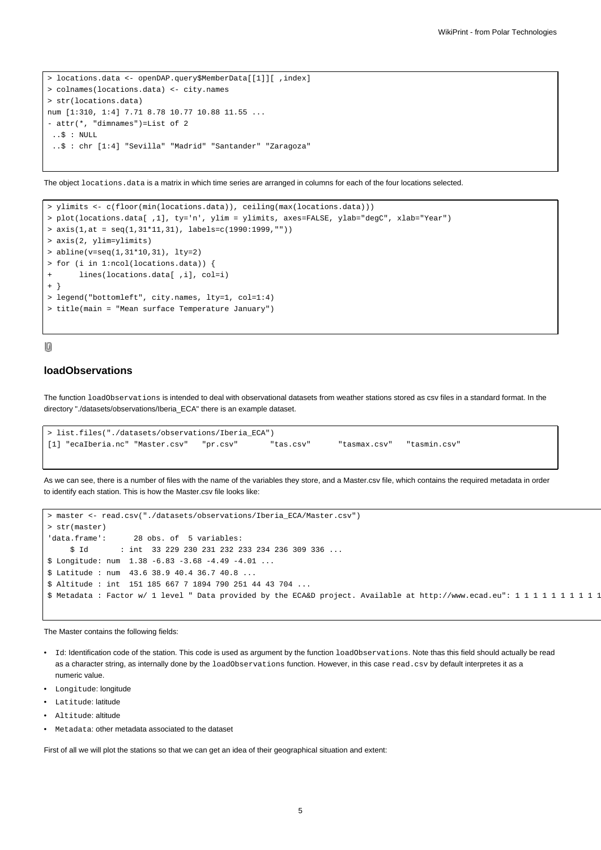```
> locations.data <- openDAP.query$MemberData[[1]][ ,index]
> colnames(locations.data) <- city.names
> str(locations.data)
num [1:310, 1:4] 7.71 8.78 10.77 10.88 11.55 ...
- attr(*, "dimnames")=List of 2
 ..$ : NULL
 ..$ : chr [1:4] "Sevilla" "Madrid" "Santander" "Zaragoza"
```
The object locations.data is a matrix in which time series are arranged in columns for each of the four locations selected.

```
> ylimits <- c(floor(min(locations.data)), ceiling(max(locations.data)))
> plot(locations.data[ ,1], ty='n', ylim = ylimits, axes=FALSE, ylab="degC", xlab="Year")
> axis(1, at = seq(1, 31*11, 31), labels=c(1990:1999, ""))> axis(2, ylim=ylimits)
> abline(v=seq(1,31*10,31), lty=2)
> for (i in 1:ncol(locations.data)) {
+ lines(locations.data[ ,i], col=i)
+ }
> legend("bottomleft", city.names, lty=1, col=1:4)
> title(main = "Mean surface Temperature January")
```
## 10

# **loadObservations**

The function loadObservations is intended to deal with observational datasets from weather stations stored as csv files in a standard format. In the directory "./datasets/observations/Iberia\_ECA" there is an example dataset.

```
> list.files("./datasets/observations/Iberia_ECA")
[1] "ecaIberia.nc" "Master.csv" "pr.csv" "tas.csv" "tasmax.csv" "tasmin.csv"
```
As we can see, there is a number of files with the name of the variables they store, and a Master.csv file, which contains the required metadata in order to identify each station. This is how the Master.csv file looks like:

```
> master <- read.csv("./datasets/observations/Iberia_ECA/Master.csv")
> str(master)
'data.frame': 28 obs. of 5 variables:
     $ Id : int 33 229 230 231 232 233 234 236 309 336 ...
$ Longitude: num 1.38 -6.83 -3.68 -4.49 -4.01 ...
$ Latitude : num 43.6 38.9 40.4 36.7 40.8 ...
$ Altitude : int 151 185 667 7 1894 790 251 44 43 704 ...
$ Metadata : Factor w/ 1 level " Data provided by the ECA&D project. Available at http://www.ecad.eu": 1 1 1 1 1 1 1 1 1 1
```
The Master contains the following fields:

- Id: Identification code of the station. This code is used as argument by the function loadObservations. Note thas this field should actually be read as a character string, as internally done by the loadObservations function. However, in this case read.csv by default interpretes it as a numeric value.
- Longitude: longitude
- Latitude: latitude
- Altitude: altitude
- Metadata: other metadata associated to the dataset

First of all we will plot the stations so that we can get an idea of their geographical situation and extent: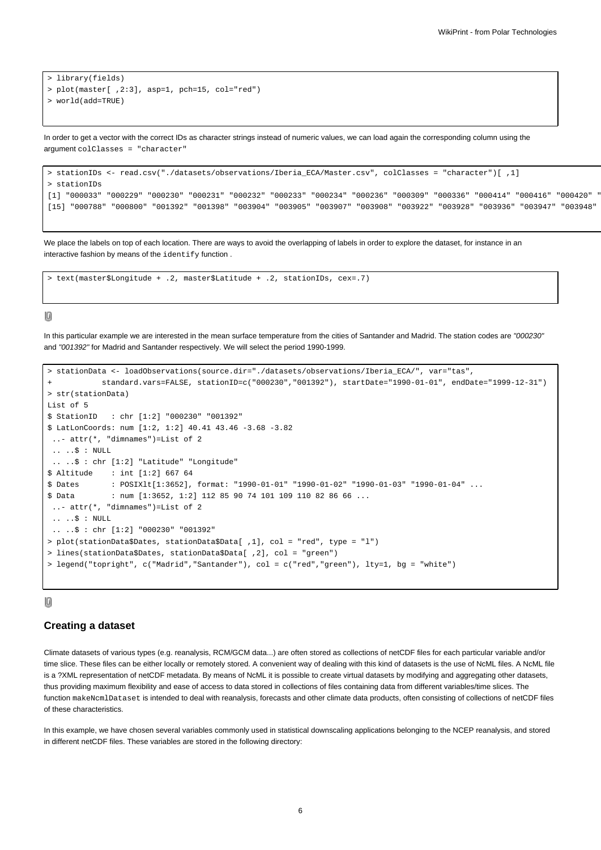```
> library(fields)
> plot(master[ ,2:3], asp=1, pch=15, col="red")
> world(add=TRUE)
```
In order to get a vector with the correct IDs as character strings instead of numeric values, we can load again the corresponding column using the argument colClasses = "character"

```
> stationIDs <- read.csv("./datasets/observations/Iberia_ECA/Master.csv", colClasses = "character")[ ,1]
> stationIDs
[1] "000033" "000229" "000230" "000231" "000232" "000233" "000234" "000236" "000309" "000336" "000414" "000416" "000420" "000421"
[15] "000788" "000800" "001392" "001398" "003904" "003905" "003907" "003908" "003922" "003928" "003936" "003947" "003948" "003949"
```
We place the labels on top of each location. There are ways to avoid the overlapping of labels in order to explore the dataset, for instance in an interactive fashion by means of the identify function .

> text(master\$Longitude + .2, master\$Latitude + .2, stationIDs, cex=.7)

## 10

In this particular example we are interested in the mean surface temperature from the cities of Santander and Madrid. The station codes are "000230" and "001392" for Madrid and Santander respectively. We will select the period 1990-1999.

```
> stationData <- loadObservations(source.dir="./datasets/observations/Iberia_ECA/", var="tas",
           + standard.vars=FALSE, stationID=c("000230","001392"), startDate="1990-01-01", endDate="1999-12-31")
> str(stationData)
List of 5
$ StationID : chr [1:2] "000230" "001392"
$ LatLonCoords: num [1:2, 1:2] 40.41 43.46 -3.68 -3.82
 ..- attr(*, "dimnames")=List of 2
 .. ..$ : NULL
 .. ..$ : chr [1:2] "Latitude" "Longitude"
$ Altitude : int [1:2] 667 64
$ Dates : POSIXlt[1:3652], format: "1990-01-01" "1990-01-02" "1990-01-03" "1990-01-04" ...
$ Data : num [1:3652, 1:2] 112 85 90 74 101 109 110 82 86 66 ...
 ..- attr(*, "dimnames")=List of 2
 .. ..$ : NULL
 .. ..$ : chr [1:2] "000230" "001392"
> plot(stationData$Dates, stationData$Data[ ,1], col = "red", type = "l")
> lines(stationData$Dates, stationData$Data[ ,2], col = "green")
> legend("topright", c("Madrid","Santander"), col = c("red","green"), lty=1, bg = "white")
```
#### $[0] % \begin{center} % \includegraphics[width=\linewidth]{imagesSupplemental_3.png} % \end{center} % \caption { % Our method is used for the method. % Note that the \emph{Defleft:} The \emph{Defleft:} the \emph{Defleft:} the \emph{Defleft:} the \emph{Defleft:} the \emph{Defleft:} the \emph{Defleft:} the \emph{Defleft:} the \emph{Defleft:} the \emph{Defleft:} the \emph{Defleft:} the \emph{Defleft:} the \emph{Defleft:} the \emph{Defleft:} the \emph{Defleft:} the \emph{Defleft:} the \emph{Defleft:} the \emph{Defleft:} the \emph{Defleft:} the$

## **Creating a dataset**

Climate datasets of various types (e.g. reanalysis, RCM/GCM data...) are often stored as collections of netCDF files for each particular variable and/or time slice. These files can be either locally or remotely stored. A convenient way of dealing with this kind of datasets is the use of NcML files. A NcML file is a ?XML representation of netCDF metadata. By means of NcML it is possible to create virtual datasets by modifying and aggregating other datasets, thus providing maximum flexibility and ease of access to data stored in collections of files containing data from different variables/time slices. The function makeNcmlDataset is intended to deal with reanalysis, forecasts and other climate data products, often consisting of collections of netCDF files of these characteristics.

In this example, we have chosen several variables commonly used in statistical downscaling applications belonging to the NCEP reanalysis, and stored in different netCDF files. These variables are stored in the following directory: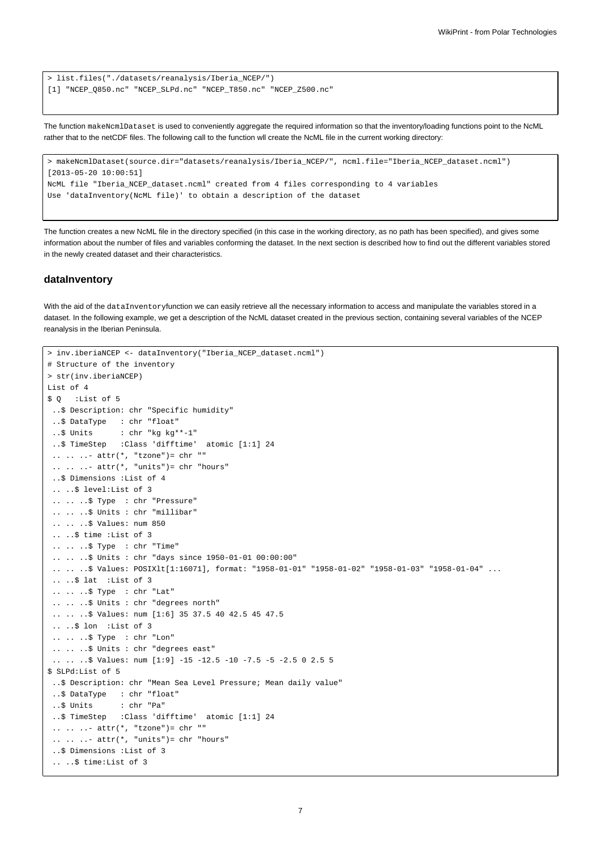```
> list.files("./datasets/reanalysis/Iberia_NCEP/")
[1] "NCEP_Q850.nc" "NCEP_SLPd.nc" "NCEP_T850.nc" "NCEP_Z500.nc"
```
The function makeNcmlDataset is used to conveniently aggregate the required information so that the inventory/loading functions point to the NcML rather that to the netCDF files. The following call to the function wll create the NcML file in the current working directory:

```
> makeNcmlDataset(source.dir="datasets/reanalysis/Iberia_NCEP/", ncml.file="Iberia_NCEP_dataset.ncml")
[2013-05-20 10:00:51]
NcML file "Iberia_NCEP_dataset.ncml" created from 4 files corresponding to 4 variables
Use 'dataInventory(NcML file)' to obtain a description of the dataset
```
The function creates a new NcML file in the directory specified (in this case in the working directory, as no path has been specified), and gives some information about the number of files and variables conforming the dataset. In the next section is described how to find out the different variables stored in the newly created dataset and their characteristics.

## **dataInventory**

With the aid of the dataInventoryfunction we can easily retrieve all the necessary information to access and manipulate the variables stored in a dataset. In the following example, we get a description of the NcML dataset created in the previous section, containing several variables of the NCEP reanalysis in the Iberian Peninsula.

```
> inv.iberiaNCEP <- dataInventory("Iberia_NCEP_dataset.ncml")
# Structure of the inventory
> str(inv.iberiaNCEP)
List of 4
$ Q :List of 5
 ..$ Description: chr "Specific humidity"
 ..$ DataType : chr "float"
 ..$ Units : chr "kg kg**-1"
 ..$ TimeStep :Class 'difftime' atomic [1:1] 24
 .. .. ..- attr(*, "tzone")= chr ""
 \ldots \ldots - attr(*, "units")= chr "hours"
 ..$ Dimensions :List of 4
 .. ..$ level:List of 3
 .. .. ..$ Type : chr "Pressure"
 .. .. ..$ Units : chr "millibar"
 .. .. ..$ Values: num 850
 .. ..$ time :List of 3
 .. .. ..$ Type : chr "Time"
 .. .. ..$ Units : chr "days since 1950-01-01 00:00:00"
 .. .. $ Values: POSIXlt[1:16071], format: "1958-01-01" "1958-01-02" "1958-01-03" "1958-01-04" ...
 .. ..$ lat :List of 3
 .. .. ..$ Type : chr "Lat"
 .. .. ..$ Units : chr "degrees north"
 .. .. ..$ Values: num [1:6] 35 37.5 40 42.5 45 47.5
 .. ..$ lon :List of 3
 .. .. ..$ Type : chr "Lon"
 .. .. ..$ Units : chr "degrees east"
 .. .. ..$ Values: num [1:9] -15 -12.5 -10 -7.5 -5 -2.5 0 2.5 5
$ SLPd:List of 5
..$ Description: chr "Mean Sea Level Pressure; Mean daily value"
 ..$ DataType : chr "float"
 ..$ Units : chr "Pa"
 ..$ TimeStep :Class 'difftime' atomic [1:1] 24
 \ldots \ldots \ldots attr(*, "tzone")= chr ""
 \ldots \ldots - attr(*, "units")= chr "hours"
 ..$ Dimensions :List of 3
 .. ..$ time:List of 3
```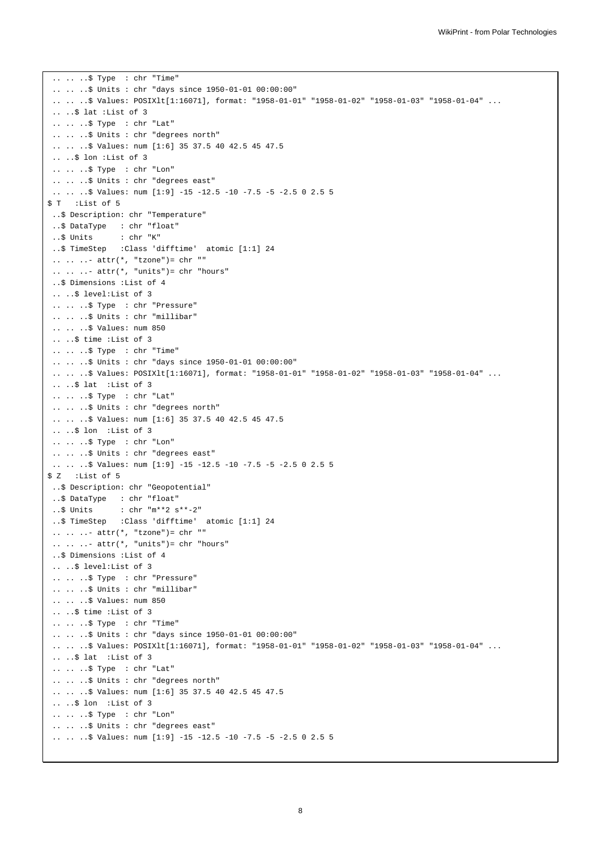```
.. .. ..$ Type : chr "Time"
 .. .. ..$ Units : chr "days since 1950-01-01 00:00:00"
 .. .. ..$ Values: POSIXlt[1:16071], format: "1958-01-01" "1958-01-02" "1958-01-03" "1958-01-04" ...
 .. ..$ lat :List of 3
 .. .. ..$ Type : chr "Lat"
 .. .. ..$ Units : chr "degrees north"
 .. .. ..$ Values: num [1:6] 35 37.5 40 42.5 45 47.5
 .. ..$ lon :List of 3
 .. .. ..$ Type : chr "Lon"
 .. .. ..$ Units : chr "degrees east"
 .. .. ..$ Values: num [1:9] -15 -12.5 -10 -7.5 -5 -2.5 0 2.5 5
$ T :List of 5
 ..$ Description: chr "Temperature"
 ..$ DataType : chr "float"
 ..$ Units : chr "K"
 ..$ TimeStep :Class 'difftime' atomic [1:1] 24
 .. .. ..- attr(*, "tzone")= chr ""
 \ldots \ldots \ldots attr(*, "units")= chr "hours"
 ..$ Dimensions :List of 4
 .. ..$ level:List of 3
 .. .. ..$ Type : chr "Pressure"
 .. .. ..$ Units : chr "millibar"
 .. .. ..$ Values: num 850
 .. ..$ time :List of 3
 .. .. ..$ Type : chr "Time"
 .. .. ..$ Units : chr "days since 1950-01-01 00:00:00"
 .. .. .. $ Values: POSIXlt[1:16071], format: "1958-01-01" "1958-01-02" "1958-01-03" "1958-01-04" ...
 .. ..$ lat :List of 3
 .. .. ..$ Type : chr "Lat"
 .. .. ..$ Units : chr "degrees north"
 .. .. ..$ Values: num [1:6] 35 37.5 40 42.5 45 47.5
 .. ..$ lon :List of 3
 .. .. ..$ Type : chr "Lon"
 .. .. .. $ Units : chr "degrees east"
 .. .. ..$ Values: num [1:9] -15 -12.5 -10 -7.5 -5 -2.5 0 2.5 5
$ Z :List of 5
..$ Description: chr "Geopotential"
..$ DataType : chr "float"
..$ Units : chr "m**2 s**-2"
..$ TimeStep :Class 'difftime' atomic [1:1] 24
 \ldots \ldots - attr(*, "tzone")= chr ""
 \ldots \ldots \ldots attr(*, "units")= chr "hours"
 ..$ Dimensions :List of 4
 .. ..$ level:List of 3
 .. .. ..$ Type : chr "Pressure"
 .. .. ..$ Units : chr "millibar"
 .. .. ..$ Values: num 850
 .. ..$ time :List of 3
 .. .. ..$ Type : chr "Time"
 .. .. ..$ Units : chr "days since 1950-01-01 00:00:00"
 .. .. .. $ Values: POSIXlt[1:16071], format: "1958-01-01" "1958-01-02" "1958-01-03" "1958-01-04" ...
 .. ..$ lat :List of 3
 .. .. ..$ Type : chr "Lat"
 .. .. ..$ Units : chr "degrees north"
 .. .. ..$ Values: num [1:6] 35 37.5 40 42.5 45 47.5
 .. ..$ lon :List of 3
 .. .. ..$ Type : chr "Lon"
 .. .. ..$ Units : chr "degrees east"
 .. .. ..$ Values: num [1:9] -15 -12.5 -10 -7.5 -5 -2.5 0 2.5 5
```